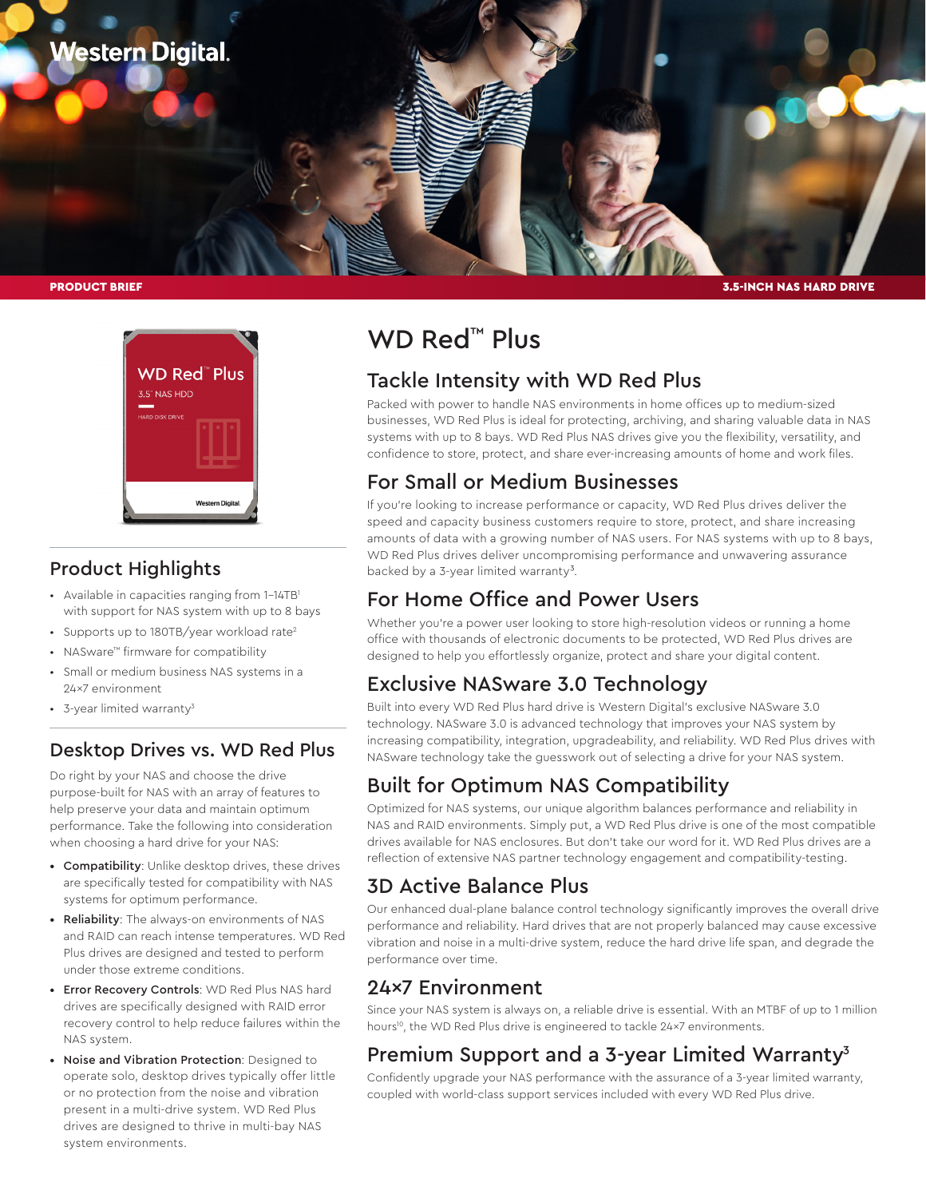

PRODUCT BRIEF



### Product Highlights

- Available in capacities ranging from 1-14TB<sup>1</sup> with support for NAS system with up to 8 bays
- Supports up to 180TB/year workload rate<sup>2</sup>
- NASware™ firmware for compatibility
- Small or medium business NAS systems in a 24x7 environment
- 3-year limited warranty<sup>3</sup>

### Desktop Drives vs. WD Red Plus

Do right by your NAS and choose the drive purpose-built for NAS with an array of features to help preserve your data and maintain optimum performance. Take the following into consideration when choosing a hard drive for your NAS:

- Compatibility: Unlike desktop drives, these drives are specifically tested for compatibility with NAS systems for optimum performance.
- Reliability: The always-on environments of NAS and RAID can reach intense temperatures. WD Red Plus drives are designed and tested to perform under those extreme conditions.
- Error Recovery Controls: WD Red Plus NAS hard drives are specifically designed with RAID error recovery control to help reduce failures within the NAS system.
- Noise and Vibration Protection: Designed to operate solo, desktop drives typically offer little or no protection from the noise and vibration present in a multi-drive system. WD Red Plus drives are designed to thrive in multi-bay NAS system environments.

# WD Red<sup>™</sup> Plus

## Tackle Intensity with WD Red Plus

Packed with power to handle NAS environments in home offices up to medium-sized businesses, WD Red Plus is ideal for protecting, archiving, and sharing valuable data in NAS systems with up to 8 bays. WD Red Plus NAS drives give you the flexibility, versatility, and confidence to store, protect, and share ever-increasing amounts of home and work files.

3.5-INCH NAS HARD DRIVE

## For Small or Medium Businesses

If you're looking to increase performance or capacity, WD Red Plus drives deliver the speed and capacity business customers require to store, protect, and share increasing amounts of data with a growing number of NAS users. For NAS systems with up to 8 bays, WD Red Plus drives deliver uncompromising performance and unwavering assurance backed by a 3-year limited warranty<sup>3</sup>.

## For Home Office and Power Users

Whether you're a power user looking to store high-resolution videos or running a home office with thousands of electronic documents to be protected, WD Red Plus drives are designed to help you effortlessly organize, protect and share your digital content.

## Exclusive NASware 3.0 Technology

Built into every WD Red Plus hard drive is Western Digital's exclusive NASware 3.0 technology. NASware 3.0 is advanced technology that improves your NAS system by increasing compatibility, integration, upgradeability, and reliability. WD Red Plus drives with NASware technology take the guesswork out of selecting a drive for your NAS system.

## Built for Optimum NAS Compatibility

Optimized for NAS systems, our unique algorithm balances performance and reliability in NAS and RAID environments. Simply put, a WD Red Plus drive is one of the most compatible drives available for NAS enclosures. But don't take our word for it. WD Red Plus drives are a reflection of extensive NAS partner technology engagement and compatibility-testing.

## 3D Active Balance Plus

Our enhanced dual-plane balance control technology significantly improves the overall drive performance and reliability. Hard drives that are not properly balanced may cause excessive vibration and noise in a multi-drive system, reduce the hard drive life span, and degrade the performance over time.

### 24x7 Environment

Since your NAS system is always on, a reliable drive is essential. With an MTBF of up to 1 million hours<sup>10</sup>, the WD Red Plus drive is engineered to tackle 24×7 environments.

## Premium Support and a 3-year Limited Warranty<sup>3</sup>

Confidently upgrade your NAS performance with the assurance of a 3-year limited warranty, coupled with world-class support services included with every WD Red Plus drive.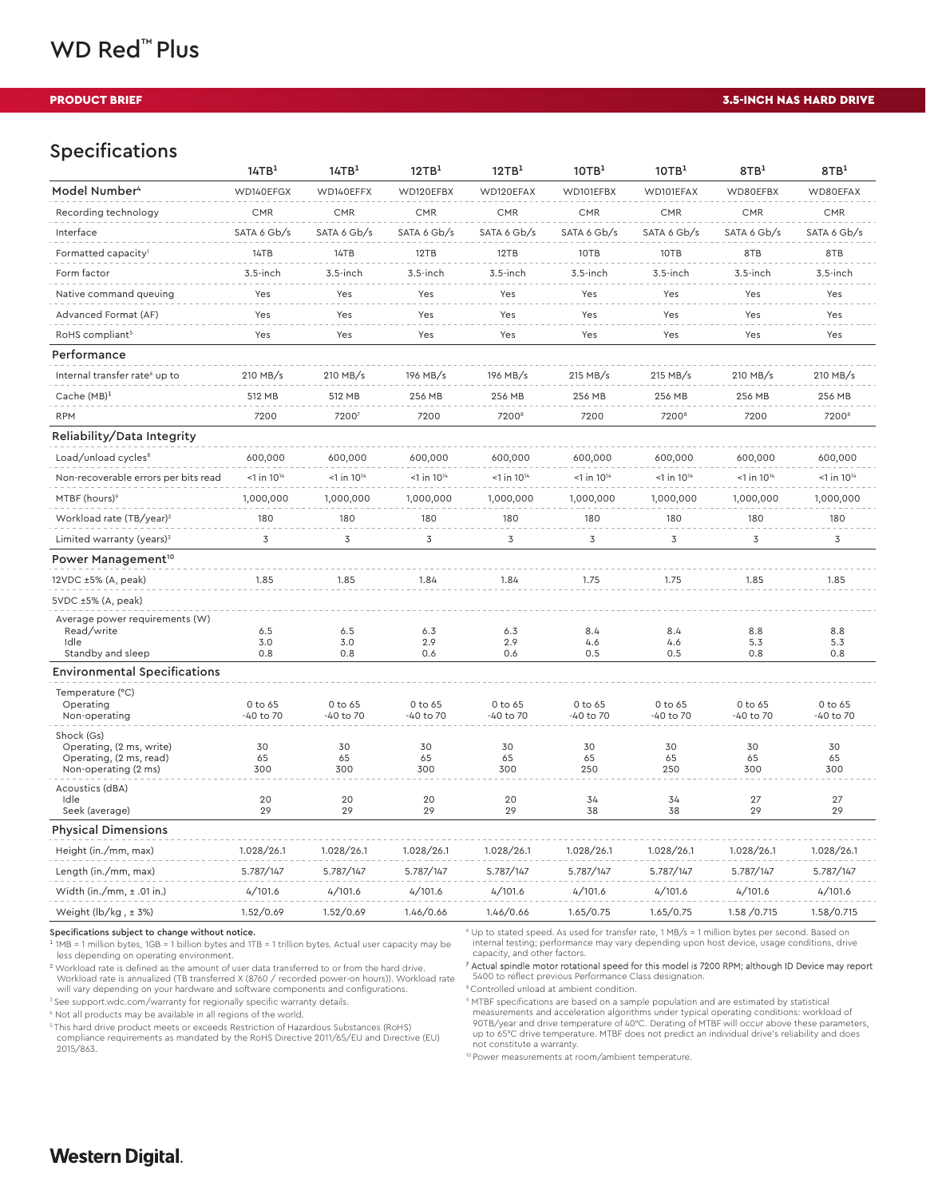#### PRODUCT BRIEF

#### 3.5-INCH NAS HARD DRIVE

#### Specifications

|                                                                                           | 14TB <sup>1</sup>         | 14TB <sup>1</sup>         | 12TB <sup>1</sup>       | 12TB <sup>1</sup>         | 10TB <sup>1</sup>         | 10TB <sup>1</sup>         | 8TB <sup>1</sup>          | 8TB <sup>1</sup>          |
|-------------------------------------------------------------------------------------------|---------------------------|---------------------------|-------------------------|---------------------------|---------------------------|---------------------------|---------------------------|---------------------------|
| Model Number <sup>4</sup>                                                                 | WD140EFGX                 | WD140EFFX                 | WD120EFBX               | WD120EFAX                 | WD101EFBX                 | WD101EFAX                 | WD80EFBX                  | WD80EFAX                  |
| Recording technology                                                                      | <b>CMR</b>                | <b>CMR</b>                | <b>CMR</b>              | <b>CMR</b>                | <b>CMR</b>                | <b>CMR</b>                | <b>CMR</b>                | CMR                       |
| Interface                                                                                 | SATA 6 Gb/s               | SATA 6 Gb/s               | SATA 6 Gb/s             | SATA 6 Gb/s               | SATA 6 Gb/s               | SATA 6 Gb/s               | SATA 6 Gb/s               | SATA 6 Gb/s               |
| Formatted capacity <sup>1</sup>                                                           | 14TB                      | 14TB                      | 12TB                    | 12TB                      | 10TB                      | 10TB                      | 8TB                       | 8TB                       |
| Form factor                                                                               | $3.5$ -inch               | $3.5$ -inch               | $3.5$ -inch             | $3.5$ -inch               | $3.5$ -inch               | 3.5-inch                  | $3.5$ -inch               | $3.5$ -inch               |
| Native command queuing                                                                    | Yes                       | Yes                       | Yes                     | Yes                       | Yes                       | Yes                       | Yes                       | Yes                       |
| Advanced Format (AF)                                                                      | Yes                       | Yes                       | Yes                     | Yes                       | Yes                       | Yes                       | Yes                       | Yes                       |
| RoHS compliant <sup>5</sup>                                                               | Yes                       | Yes                       | Yes                     | Yes                       | Yes                       | Yes                       | Yes                       | Yes                       |
| Performance                                                                               |                           |                           |                         |                           |                           |                           |                           |                           |
| Internal transfer rate <sup>6</sup> up to                                                 | 210 MB/s                  | 210 MB/s                  | 196 MB/s                | 196 MB/s                  | $215$ MB/s                | $215$ MB/s                | 210 MB/s                  | 210 MB/s                  |
| Cache $(MB)^1$                                                                            | 512 MB                    | 512 MB                    | 256 MB                  | 256 MB                    | 256 MB                    | 256 MB                    | 256 MB                    | 256 MB                    |
| <b>RPM</b>                                                                                | 7200                      | 72007                     | 7200                    | 7200 <sup>8</sup>         | 7200                      | 7200 <sup>8</sup>         | 7200                      | 7200 <sup>8</sup>         |
| Reliability/Data Integrity                                                                |                           |                           |                         |                           |                           |                           |                           |                           |
| Load/unload cycles <sup>8</sup>                                                           | 600,000                   | 600,000                   | 600,000                 | 600,000                   | 600,000                   | 600,000                   | 600,000                   | 600,000                   |
| Non-recoverable errors per bits read                                                      | $<$ 1 in 10 <sup>14</sup> | $<$ 1 in 10 <sup>14</sup> | $1$ in $10^{14}$        | $<$ 1 in 10 <sup>14</sup> | $<$ 1 in 10 <sup>14</sup> | $<$ 1 in 10 <sup>14</sup> | $<$ 1 in 10 <sup>14</sup> | $<$ 1 in 10 <sup>14</sup> |
| MTBF (hours) <sup>9</sup>                                                                 | 1,000,000                 | 1,000,000                 | 1,000,000               | 1,000,000                 | 1,000,000                 | 1,000,000                 | 1,000,000                 | 1,000,000                 |
| Workload rate (TB/year) <sup>2</sup>                                                      | 180                       | 180                       | 180                     | 180                       | 180                       | 180                       | 180                       | 180                       |
| Limited warranty (years) <sup>3</sup>                                                     | $\mathbf 3$               | 3                         | $\overline{\mathsf{3}}$ | $\overline{\mathsf{3}}$   | $\mathsf 3$               | $\overline{3}$            | 3                         | $\overline{3}$            |
| Power Management <sup>10</sup>                                                            |                           |                           |                         |                           |                           |                           |                           |                           |
| 12VDC ±5% (A, peak)                                                                       | 1.85                      | 1.85                      | 1.84                    | 1.84                      | 1.75                      | 1.75                      | 1.85                      | 1.85                      |
| 5VDC ±5% (A, peak)                                                                        |                           |                           |                         |                           |                           |                           |                           |                           |
| Average power requirements (W)<br>Read/write<br>Idle<br>Standby and sleep                 | 6.5<br>3.0<br>0.8         | 6.5<br>3.0<br>0.8         | 6.3<br>2.9<br>0.6       | 6.3<br>2.9<br>0.6         | 8.4<br>4.6<br>0.5         | 8.4<br>4.6<br>0.5         | 8.8<br>5.3<br>0.8         | 8.8<br>5.3<br>0.8         |
| <b>Environmental Specifications</b>                                                       |                           |                           |                         |                           |                           |                           |                           |                           |
| Temperature (°C)<br>Operating<br>Non-operating                                            | 0 to 65<br>-40 to 70      | 0 to 65<br>-40 to 70      | 0 to 65<br>-40 to 70    | 0 to 65<br>-40 to 70      | 0 to 65<br>-40 to 70      | 0 to 65<br>-40 to 70      | 0 to 65<br>-40 to 70      | 0 to 65<br>-40 to 70      |
| Shock (Gs)<br>Operating, (2 ms, write)<br>Operating, (2 ms, read)<br>Non-operating (2 ms) | 30<br>65<br>300           | 30<br>65<br>300           | 30<br>65<br>300         | 30<br>65<br>300           | 30<br>65<br>250           | 30<br>65<br>250           | 30<br>65<br>300           | 30<br>65<br>300           |
| Acoustics (dBA)<br>Idle<br>Seek (average)                                                 | 20<br>29                  | 20<br>29                  | 20<br>29                | 20<br>29                  | 34<br>38                  | 34<br>38                  | 27<br>29                  | 27<br>29                  |
| <b>Physical Dimensions</b>                                                                |                           |                           |                         |                           |                           |                           |                           |                           |
| Height (in./mm, max)                                                                      | 1.028/26.1                | 1.028/26.1                | 1.028/26.1              | 1.028/26.1                | 1.028/26.1                | 1.028/26.1                | 1.028/26.1                | 1.028/26.1                |
| Length (in./mm, max)                                                                      | 5.787/147                 | 5.787/147                 | 5.787/147               | 5.787/147                 | 5.787/147                 | 5.787/147                 | 5.787/147                 | 5.787/147                 |
| Width (in./mm, $\pm$ .01 in.)                                                             | 4/101.6                   | 4/101.6                   | 4/101.6                 | 4/101.6                   | 4/101.6                   | 4/101.6                   | 4/101.6                   | 4/101.6                   |
| Weight ( $\frac{1}{2}$ /kg, $\pm$ 3%)                                                     | 1.52/0.69                 | 1.52/0.69                 | 1.46/0.66               | 1.46/0.66                 | 1.65/0.75                 | 1.65/0.75                 | 1.58 / 0.715              | 1.58/0.715                |

Specifications subject to change without notice.

 $11MB = 1$  million bytes,  $1GB = 1$  billion bytes and  $1TB = 1$  trillion bytes. Actual user capacity may be less depending on operating environment.

<sup>2</sup> Workload rate is defined as the amount of user data transferred to or from the hard drive.

Workload rate is annualized (TB transferred X (8760 / recorded power-on hours)). Workload rate will vary depending on your hardware and software components and configurations.

<sup>3</sup> See support.wdc.com/warranty for regionally specific warranty details.

4 Not all products may be available in all regions of the world.

5 This hard drive product meets or exceeds Restriction of Hazardous Substances (RoHS) compliance requirements as mandated by the RoHS Directive 2011/65/EU and Directive (EU) 2015/863.

6 Up to stated speed. As used for transfer rate, 1 MB/s = 1 million bytes per second. Based on internal testing; performance may vary depending upon host device, usage conditions, drive capacity, and other factors.

#### 7 Actual spindle motor rotational speed for this model is 7200 RPM; although ID Device may report 5400 to reflect previous Performance Class designation.

8 Controlled unload at ambient condition.

9 MTBF specifications are based on a sample population and are estimated by statistical measurements and acceleration algorithms under typical operating conditions: workload of<br>90TB/year and drive temperature of 40°C. Derating of MTBF will occur above these parameters,<br>up to 65°C drive temperature. MTBF does not constitute a warranty.

10 Power measurements at room/ambient temperature.

#### **Western Digital**